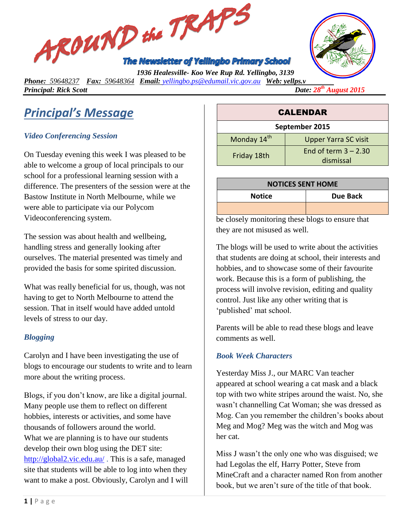

*Phone:* 59648237 *Fax:* 59648364 *Email: yellingbo.ps@edumail.vic.gov.au Web: yellps.v. Principal: Rick Scott Date: 28th August 2015*

## *Principal's Message*

### *Video Conferencing Session*

On Tuesday evening this week I was pleased to be able to welcome a group of local principals to our school for a professional learning session with a difference. The presenters of the session were at the Bastow Institute in North Melbourne, while we were able to participate via our Polycom Videoconferencing system.

The session was about health and wellbeing, handling stress and generally looking after ourselves. The material presented was timely and provided the basis for some spirited discussion.

What was really beneficial for us, though, was not having to get to North Melbourne to attend the session. That in itself would have added untold levels of stress to our day.

### *Blogging*

Carolyn and I have been investigating the use of blogs to encourage our students to write and to learn more about the writing process.

Blogs, if you don't know, are like a digital journal. Many people use them to reflect on different hobbies, interests or activities, and some have thousands of followers around the world. What we are planning is to have our students develop their own blog using the DET site: <http://global2.vic.edu.au/> . This is a safe, managed site that students will be able to log into when they want to make a post. Obviously, Carolyn and I will

| <b>CALENDAR</b>         |                                     |  |
|-------------------------|-------------------------------------|--|
| September 2015          |                                     |  |
| Monday 14 <sup>th</sup> | <b>Upper Yarra SC visit</b>         |  |
| Friday 18th             | End of term $3 - 2.30$<br>dismissal |  |

## **NOTICES SENT HOME**

| <b>Notice</b> | <b>Due Back</b> |
|---------------|-----------------|
|               |                 |

be closely monitoring these blogs to ensure that they are not misused as well.

The blogs will be used to write about the activities that students are doing at school, their interests and hobbies, and to showcase some of their favourite work. Because this is a form of publishing, the process will involve revision, editing and quality control. Just like any other writing that is 'published' mat school.

Parents will be able to read these blogs and leave comments as well.

### *Book Week Characters*

Yesterday Miss J., our MARC Van teacher appeared at school wearing a cat mask and a black top with two white stripes around the waist. No, she wasn't channelling Cat Woman; she was dressed as Mog. Can you remember the children's books about Meg and Mog? Meg was the witch and Mog was her cat.

Miss J wasn't the only one who was disguised; we had Legolas the elf, Harry Potter, Steve from MineCraft and a character named Ron from another book, but we aren't sure of the title of that book.